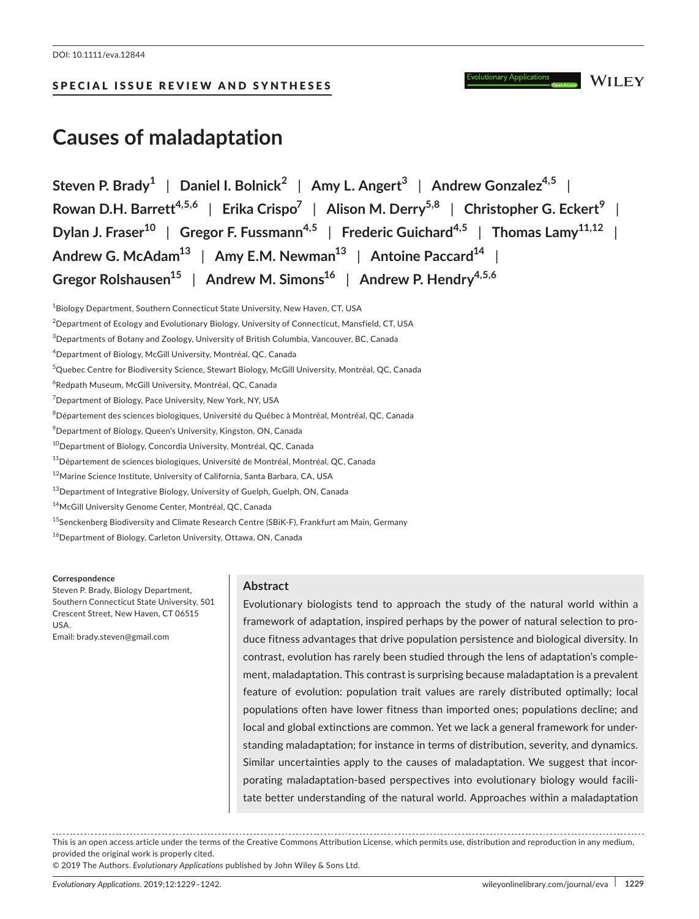## SPECIAL ISSUE REVIEW AND SYNTHESES

**WILEY** 

# **Causes of maladaptation**

**Steven P. Brady1** | **Daniel I. Bolnick<sup>2</sup>** | **Amy L. Angert3** | **Andrew Gonzalez4,5** | **Rowan D.H. Barrett4,5,6** | **Erika Crispo7** | **Alison M. Derry5,8** | **Christopher G. Eckert<sup>9</sup>** | **Dylan J. Fraser10** | **Gregor F. Fussmann4,5** | **Frederic Guichard4,5** | **Thomas Lamy11,12** | **Andrew G. McAdam13** | **Amy E.M. Newman13** | **Antoine Paccard14** | **Gregor Rolshausen15** | **Andrew M. Simons16** | **Andrew P. Hendry4,5,6**

 $^{\rm 1}$ Biology Department, Southern Connecticut State University, New Haven, CT, USA  $^2$ Department of Ecology and Evolutionary Biology, University of Connecticut, Mansfield, CT, USA  $^3$ Departments of Botany and Zoology, University of British Columbia, Vancouver, BC, Canada 4 Department of Biology, McGill University, Montréal, QC, Canada <sup>5</sup>Quebec Centre for Biodiversity Science, Stewart Biology, McGill University, Montréal, QC, Canada 6 Redpath Museum, McGill University, Montréal, QC, Canada 7 Department of Biology, Pace University, New York, NY, USA  $^8$ Département des sciences biologiques, Université du Québec à Montréal, Montréal, QC, Canada  $^9$ Department of Biology, Queen's University, Kingston, ON, Canada <sup>10</sup>Department of Biology, Concordia University, Montréal, QC, Canada  $11$ Département de sciences biologiques, Université de Montréal, Montréal, QC, Canada 12Marine Science Institute, University of California, Santa Barbara, CA, USA <sup>13</sup>Department of Integrative Biology, University of Guelph, Guelph, ON, Canada <sup>14</sup>McGill University Genome Center, Montréal, QC, Canada 15Senckenberg Biodiversity and Climate Research Centre (SBiK‐F), Frankfurt am Main, Germany

 $16$ Department of Biology, Carleton University, Ottawa, ON, Canada

**Correspondence**

Steven P. Brady, Biology Department, Southern Connecticut State University, 501 Crescent Street, New Haven, CT 06515 USA. Email: [brady.steven@gmail.com](mailto:brady.steven@gmail.com)

## **Abstract**

Evolutionary biologists tend to approach the study of the natural world within a framework of adaptation, inspired perhaps by the power of natural selection to pro‐ duce fitness advantages that drive population persistence and biological diversity. In contrast, evolution has rarely been studied through the lens of adaptation's comple‐ ment, maladaptation. This contrast is surprising because maladaptation is a prevalent feature of evolution: population trait values are rarely distributed optimally; local populations often have lower fitness than imported ones; populations decline; and local and global extinctions are common. Yet we lack a general framework for under‐ standing maladaptation; for instance in terms of distribution, severity, and dynamics. Similar uncertainties apply to the causes of maladaptation. We suggest that incor‐ porating maladaptation‐based perspectives into evolutionary biology would facili‐ tate better understanding of the natural world. Approaches within a maladaptation

This is an open access article under the terms of the [Creative Commons Attribution](http://creativecommons.org/licenses/by/4.0/) License, which permits use, distribution and reproduction in any medium, provided the original work is properly cited.

© 2019 The Authors. *Evolutionary Applications* published by John Wiley & Sons Ltd.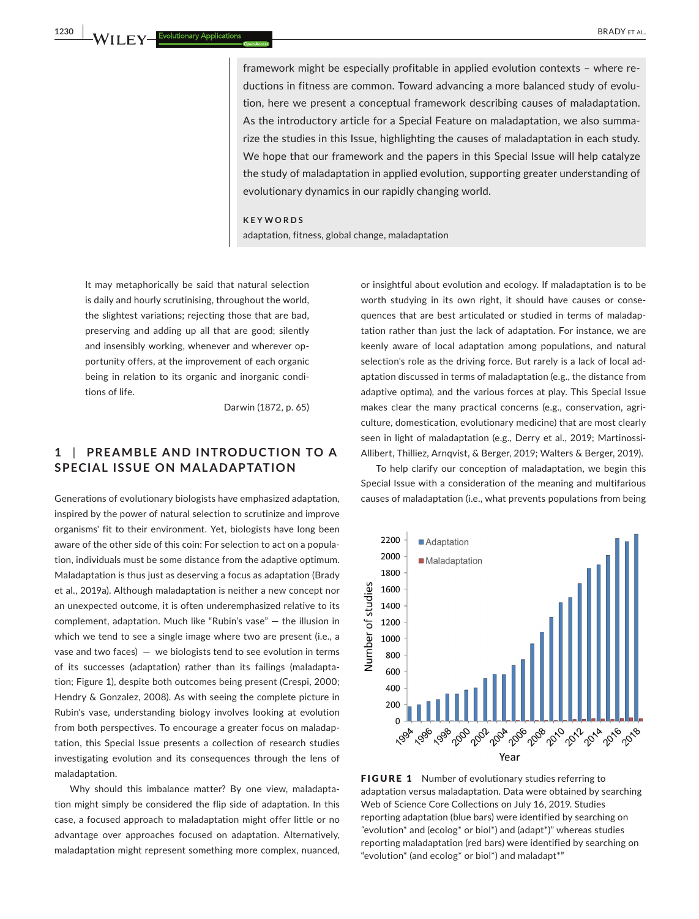framework might be especially profitable in applied evolution contexts – where reductions in fitness are common. Toward advancing a more balanced study of evolution, here we present a conceptual framework describing causes of maladaptation. As the introductory article for a Special Feature on maladaptation, we also summa‐ rize the studies in this Issue, highlighting the causes of maladaptation in each study. We hope that our framework and the papers in this Special Issue will help catalyze the study of maladaptation in applied evolution, supporting greater understanding of evolutionary dynamics in our rapidly changing world.

#### **KEYWORDS**

adaptation, fitness, global change, maladaptation

It may metaphorically be said that natural selection is daily and hourly scrutinising, throughout the world, the slightest variations; rejecting those that are bad, preserving and adding up all that are good; silently and insensibly working, whenever and wherever opportunity offers, at the improvement of each organic being in relation to its organic and inorganic condi‐ tions of life.

Darwin (1872, p. 65)

# **1** | **PRE AMBLE AND INTRODUC TION TO A SPECIAL ISSUE ON MALADAPTATION**

Generations of evolutionary biologists have emphasized adaptation, inspired by the power of natural selection to scrutinize and improve organisms' fit to their environment. Yet, biologists have long been aware of the other side of this coin: For selection to act on a popula‐ tion, individuals must be some distance from the adaptive optimum. Maladaptation is thus just as deserving a focus as adaptation (Brady et al., 2019a). Although maladaptation is neither a new concept nor an unexpected outcome, it is often underemphasized relative to its complement, adaptation. Much like "Rubin's vase" — the illusion in which we tend to see a single image where two are present (i.e., a vase and two faces)  $-$  we biologists tend to see evolution in terms of its successes (adaptation) rather than its failings (maladapta‐ tion; Figure 1), despite both outcomes being present (Crespi, 2000; Hendry & Gonzalez, 2008). As with seeing the complete picture in Rubin's vase, understanding biology involves looking at evolution from both perspectives. To encourage a greater focus on maladap‐ tation, this Special Issue presents a collection of research studies investigating evolution and its consequences through the lens of maladaptation.

Why should this imbalance matter? By one view, maladaptation might simply be considered the flip side of adaptation. In this case, a focused approach to maladaptation might offer little or no advantage over approaches focused on adaptation. Alternatively, maladaptation might represent something more complex, nuanced,

or insightful about evolution and ecology. If maladaptation is to be worth studying in its own right, it should have causes or conse‐ quences that are best articulated or studied in terms of maladap‐ tation rather than just the lack of adaptation. For instance, we are keenly aware of local adaptation among populations, and natural selection's role as the driving force. But rarely is a lack of local ad‐ aptation discussed in terms of maladaptation (e.g., the distance from adaptive optima), and the various forces at play. This Special Issue makes clear the many practical concerns (e.g., conservation, agriculture, domestication, evolutionary medicine) that are most clearly seen in light of maladaptation (e.g., Derry et al., 2019; Martinossi-Allibert, Thilliez, Arnqvist, & Berger, 2019; Walters & Berger, 2019).

To help clarify our conception of maladaptation, we begin this Special Issue with a consideration of the meaning and multifarious causes of maladaptation (i.e., what prevents populations from being



FIGURE 1 Number of evolutionary studies referring to adaptation versus maladaptation. Data were obtained by searching Web of Science Core Collections on July 16, 2019. Studies reporting adaptation (blue bars) were identified by searching on *"*evolution\* and (ecolog\* or biol\*) and (adapt\*)" whereas studies reporting maladaptation (red bars) were identified by searching on "evolution\* (and ecolog\* or biol\*) and maladapt\*"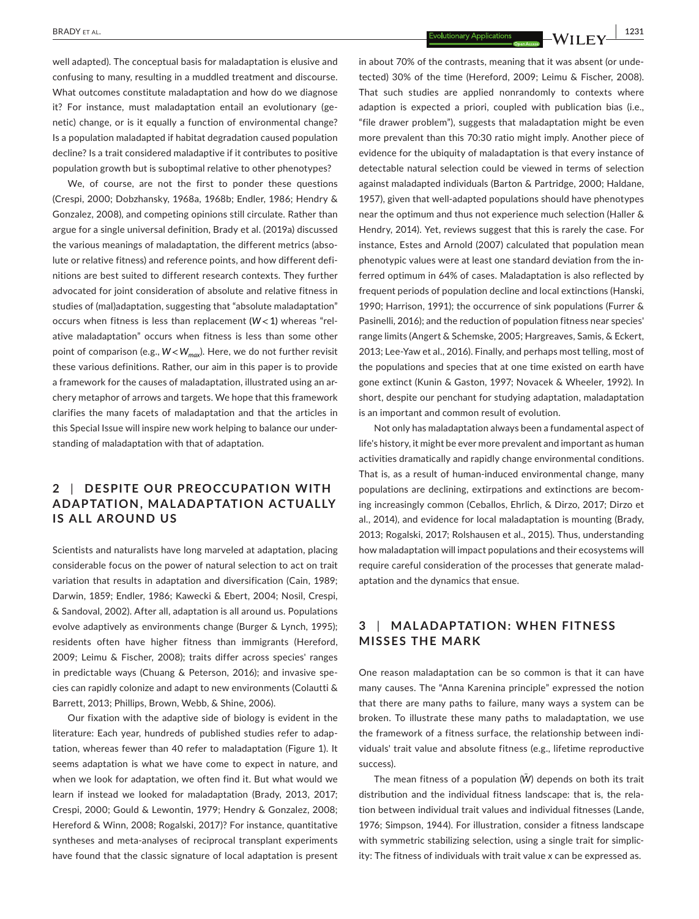**BRADY** ET AL. **1231** 

well adapted). The conceptual basis for maladaptation is elusive and confusing to many, resulting in a muddled treatment and discourse. What outcomes constitute maladaptation and how do we diagnose it? For instance, must maladaptation entail an evolutionary (genetic) change, or is it equally a function of environmental change? Is a population maladapted if habitat degradation caused population decline? Is a trait considered maladaptive if it contributes to positive population growth but is suboptimal relative to other phenotypes?

We, of course, are not the first to ponder these questions (Crespi, 2000; Dobzhansky, 1968a, 1968b; Endler, 1986; Hendry & Gonzalez, 2008), and competing opinions still circulate. Rather than argue for a single universal definition, Brady et al. (2019a) discussed the various meanings of maladaptation, the different metrics (absolute or relative fitness) and reference points, and how different definitions are best suited to different research contexts. They further advocated for joint consideration of absolute and relative fitness in studies of (mal)adaptation, suggesting that "absolute maladaptation" occurs when fitness is less than replacement (*W<*1) whereas "rel‐ ative maladaptation" occurs when fitness is less than some other point of comparison (e.g., *W<Wmax*). Here, we do not further revisit these various definitions. Rather, our aim in this paper is to provide a framework for the causes of maladaptation, illustrated using an ar‐ chery metaphor of arrows and targets. We hope that this framework clarifies the many facets of maladaptation and that the articles in this Special Issue will inspire new work helping to balance our under‐ standing of maladaptation with that of adaptation.

# **2** | **DESPITE OUR PREOCCUPATION WITH ADAPTATION, MALADAPTATION ACTUALLY IS ALL AROUND US**

Scientists and naturalists have long marveled at adaptation, placing considerable focus on the power of natural selection to act on trait variation that results in adaptation and diversification (Cain, 1989; Darwin, 1859; Endler, 1986; Kawecki & Ebert, 2004; Nosil, Crespi, & Sandoval, 2002). After all, adaptation is all around us. Populations evolve adaptively as environments change (Burger & Lynch, 1995); residents often have higher fitness than immigrants (Hereford, 2009; Leimu & Fischer, 2008); traits differ across species' ranges in predictable ways (Chuang & Peterson, 2016); and invasive spe‐ cies can rapidly colonize and adapt to new environments (Colautti & Barrett, 2013; Phillips, Brown, Webb, & Shine, 2006).

Our fixation with the adaptive side of biology is evident in the literature: Each year, hundreds of published studies refer to adap‐ tation, whereas fewer than 40 refer to maladaptation (Figure 1). It seems adaptation is what we have come to expect in nature, and when we look for adaptation, we often find it. But what would we learn if instead we looked for maladaptation (Brady, 2013, 2017; Crespi, 2000; Gould & Lewontin, 1979; Hendry & Gonzalez, 2008; Hereford & Winn, 2008; Rogalski, 2017)? For instance, quantitative syntheses and meta‐analyses of reciprocal transplant experiments have found that the classic signature of local adaptation is present in about 70% of the contrasts, meaning that it was absent (or unde‐ tected) 30% of the time (Hereford, 2009; Leimu & Fischer, 2008). That such studies are applied nonrandomly to contexts where adaption is expected a priori, coupled with publication bias (i.e., "file drawer problem"), suggests that maladaptation might be even more prevalent than this 70:30 ratio might imply. Another piece of evidence for the ubiquity of maladaptation is that every instance of detectable natural selection could be viewed in terms of selection against maladapted individuals (Barton & Partridge, 2000; Haldane, 1957), given that well-adapted populations should have phenotypes near the optimum and thus not experience much selection (Haller & Hendry, 2014). Yet, reviews suggest that this is rarely the case. For instance, Estes and Arnold (2007) calculated that population mean phenotypic values were at least one standard deviation from the in‐ ferred optimum in 64% of cases. Maladaptation is also reflected by frequent periods of population decline and local extinctions (Hanski, 1990; Harrison, 1991); the occurrence of sink populations (Furrer & Pasinelli, 2016); and the reduction of population fitness near species' range limits (Angert & Schemske, 2005; Hargreaves, Samis, & Eckert, 2013; Lee‐Yaw et al., 2016). Finally, and perhaps most telling, most of the populations and species that at one time existed on earth have gone extinct (Kunin & Gaston, 1997; Novacek & Wheeler, 1992). In short, despite our penchant for studying adaptation, maladaptation is an important and common result of evolution.

Not only has maladaptation always been a fundamental aspect of life's history, it might be ever more prevalent and important as human activities dramatically and rapidly change environmental conditions. That is, as a result of human‐induced environmental change, many populations are declining, extirpations and extinctions are becom‐ ing increasingly common (Ceballos, Ehrlich, & Dirzo, 2017; Dirzo et al., 2014), and evidence for local maladaptation is mounting (Brady, 2013; Rogalski, 2017; Rolshausen et al., 2015). Thus, understanding how maladaptation will impact populations and their ecosystems will require careful consideration of the processes that generate malad‐ aptation and the dynamics that ensue.

# **3** | **MAL ADAPTATION: WHEN FITNESS MISSES THE MARK**

One reason maladaptation can be so common is that it can have many causes. The "Anna Karenina principle" expressed the notion that there are many paths to failure, many ways a system can be broken. To illustrate these many paths to maladaptation, we use the framework of a fitness surface, the relationship between indi‐ viduals' trait value and absolute fitness (e.g., lifetime reproductive success).

The mean fitness of a population (*W̄* ) depends on both its trait distribution and the individual fitness landscape: that is, the rela‐ tion between individual trait values and individual fitnesses (Lande, 1976; Simpson, 1944). For illustration, consider a fitness landscape with symmetric stabilizing selection, using a single trait for simplicity: The fitness of individuals with trait value *x* can be expressed as.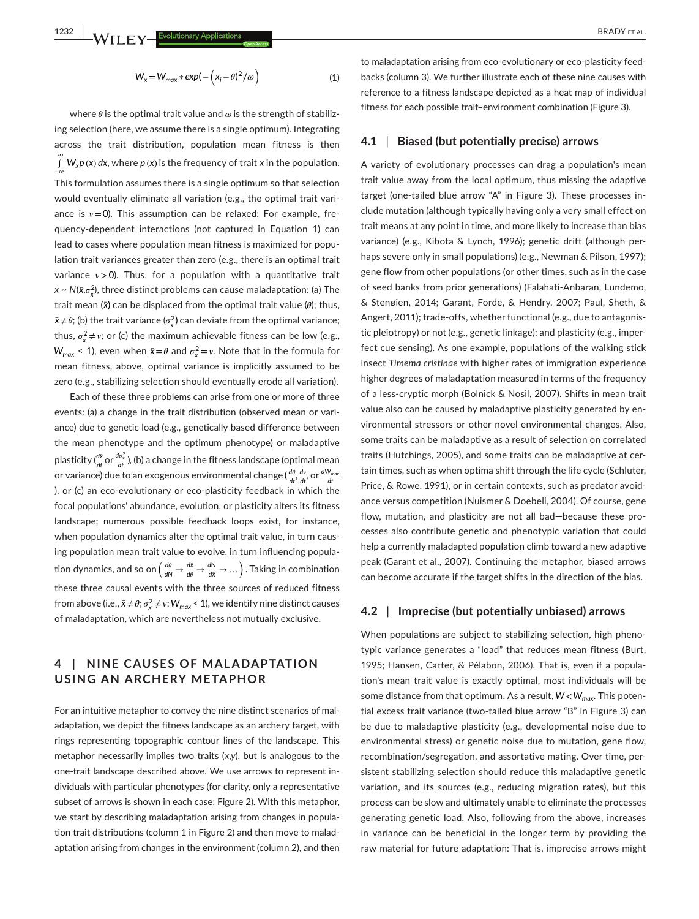where  $\theta$  is the optimal trait value and  $\omega$  is the strength of stabilizing selection (here, we assume there is a single optimum). Integrating across the trait distribution, population mean fitness is then ∞ ∫ *Wxp* (*x*) *dx*, where *p* (*x*) is the frequency of trait *x* in the population. −∞ This formulation assumes there is a single optimum so that selection would eventually eliminate all variation (e.g., the optimal trait variance is  $v = 0$ ). This assumption can be relaxed: For example, frequency‐dependent interactions (not captured in Equation 1) can lead to cases where population mean fitness is maximized for popu‐ lation trait variances greater than zero (e.g., there is an optimal trait variance  $v > 0$ ). Thus, for a population with a quantitative trait *x* ~  $N(\bar{x}, \sigma_x^2)$ , three distinct problems can cause maladaptation: (a) The trait mean (*x̄*) can be displaced from the optimal trait value (*𝜃*); thus,  $\bar{x} \neq \theta$ ; (b) the trait variance ( $\sigma_x^2$ ) can deviate from the optimal variance; thus,  $\sigma_x^2 \neq v$ ; or (c) the maximum achievable fitness can be low (e.g.,  $W_{max}$  < 1), even when  $\bar{x} = \theta$  and  $\sigma_x^2 = v$ . Note that in the formula for mean fitness, above, optimal variance is implicitly assumed to be zero (e.g., stabilizing selection should eventually erode all variation).

Each of these three problems can arise from one or more of three events: (a) a change in the trait distribution (observed mean or variance) due to genetic load (e.g., genetically based difference between the mean phenotype and the optimum phenotype) or maladaptive plasticity ( $\frac{d\bar{x}}{dt}$  or  $\frac{d\sigma_x^2}{dt}$ ), (b) a change in the fitness landscape (optimal mean or variance) due to an exogenous environmental change ( $\frac{d\theta}{dt}, \frac{d\textbf{v}}{dt}$ , or  $\frac{dW_{\text{max}}}{dt}$ ), or (c) an eco‐evolutionary or eco‐plasticity feedback in which the focal populations' abundance, evolution, or plasticity alters its fitness landscape; numerous possible feedback loops exist, for instance, when population dynamics alter the optimal trait value, in turn causing population mean trait value to evolve, in turn influencing popula‐ tion dynamics, and so on  $\left(\frac{d\theta}{dN} \to \frac{d\bar{x}}{d\theta} \to \frac{dN}{d\bar{x}} \to \dots\right)$ . Taking in combination these three causal events with the three sources of reduced fitness from above (i.e.,  $\bar{x} \neq \theta$ ;  $\sigma_x^2 \neq v$ ;  $W_{max}$  < 1), we identify nine distinct causes of maladaptation, which are nevertheless not mutually exclusive.

## **4** | **NINE C AUSES OF MAL ADAPTATION USING AN ARCHERY METAPHOR**

For an intuitive metaphor to convey the nine distinct scenarios of mal‐ adaptation, we depict the fitness landscape as an archery target, with rings representing topographic contour lines of the landscape. This metaphor necessarily implies two traits (*x*,*y*), but is analogous to the one-trait landscape described above. We use arrows to represent individuals with particular phenotypes (for clarity, only a representative subset of arrows is shown in each case; Figure 2). With this metaphor, we start by describing maladaptation arising from changes in popula‐ tion trait distributions (column 1 in Figure 2) and then move to malad‐ aptation arising from changes in the environment (column 2), and then to maladaptation arising from eco-evolutionary or eco-plasticity feedbacks (column 3). We further illustrate each of these nine causes with reference to a fitness landscape depicted as a heat map of individual fitness for each possible trait–environment combination (Figure 3).

## **4.1** | **Biased (but potentially precise) arrows**

A variety of evolutionary processes can drag a population's mean trait value away from the local optimum, thus missing the adaptive target (one-tailed blue arrow "A" in Figure 3). These processes include mutation (although typically having only a very small effect on trait means at any point in time, and more likely to increase than bias variance) (e.g., Kibota & Lynch, 1996); genetic drift (although per‐ haps severe only in small populations) (e.g., Newman & Pilson, 1997); gene flow from other populations (or other times, such as in the case of seed banks from prior generations) (Falahati‐Anbaran, Lundemo, & Stenøien, 2014; Garant, Forde, & Hendry, 2007; Paul, Sheth, & Angert, 2011); trade‐offs, whether functional (e.g., due to antagonis‐ tic pleiotropy) or not (e.g., genetic linkage); and plasticity (e.g., imper‐ fect cue sensing). As one example, populations of the walking stick insect *Timema cristinae* with higher rates of immigration experience higher degrees of maladaptation measured in terms of the frequency of a less-cryptic morph (Bolnick & Nosil, 2007). Shifts in mean trait value also can be caused by maladaptive plasticity generated by en‐ vironmental stressors or other novel environmental changes. Also, some traits can be maladaptive as a result of selection on correlated traits (Hutchings, 2005), and some traits can be maladaptive at cer‐ tain times, such as when optima shift through the life cycle (Schluter, Price, & Rowe, 1991), or in certain contexts, such as predator avoid‐ ance versus competition (Nuismer & Doebeli, 2004). Of course, gene flow, mutation, and plasticity are not all bad—because these pro‐ cesses also contribute genetic and phenotypic variation that could help a currently maladapted population climb toward a new adaptive peak (Garant et al., 2007). Continuing the metaphor, biased arrows can become accurate if the target shifts in the direction of the bias.

#### **4.2** | **Imprecise (but potentially unbiased) arrows**

When populations are subject to stabilizing selection, high phenotypic variance generates a "load" that reduces mean fitness (Burt, 1995; Hansen, Carter, & Pélabon, 2006). That is, even if a popula‐ tion's mean trait value is exactly optimal, most individuals will be some distance from that optimum. As a result, *W̄ <sup>&</sup>lt;Wmax*. This poten‐ tial excess trait variance (two‐tailed blue arrow "B" in Figure 3) can be due to maladaptive plasticity (e.g., developmental noise due to environmental stress) or genetic noise due to mutation, gene flow, recombination/segregation, and assortative mating. Over time, per‐ sistent stabilizing selection should reduce this maladaptive genetic variation, and its sources (e.g., reducing migration rates), but this process can be slow and ultimately unable to eliminate the processes generating genetic load. Also, following from the above, increases in variance can be beneficial in the longer term by providing the raw material for future adaptation: That is, imprecise arrows might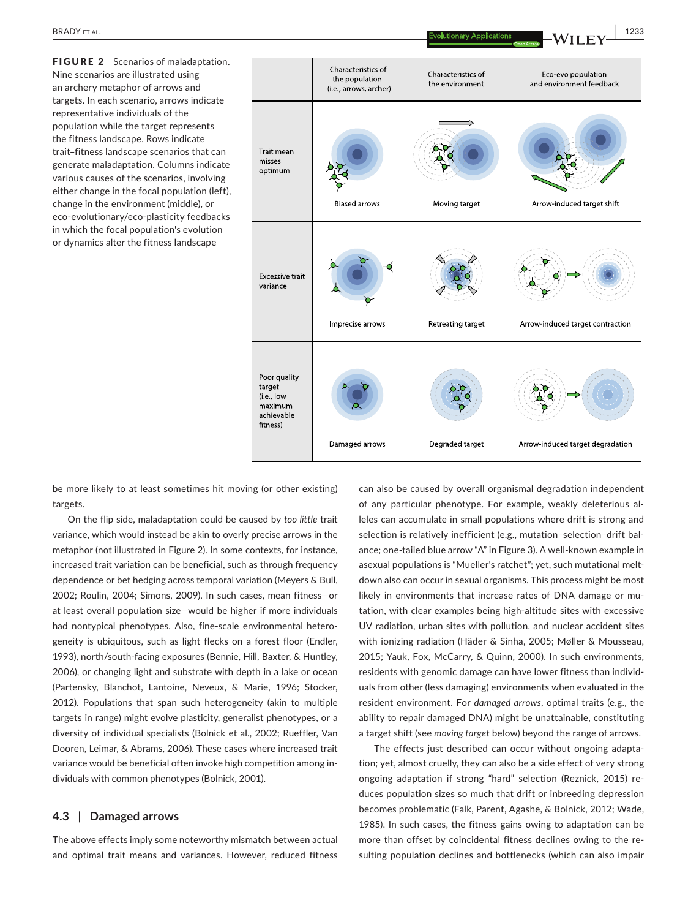FIGURE 2 Scenarios of maladaptation. Nine scenarios are illustrated using an archery metaphor of arrows and targets. In each scenario, arrows indicate representative individuals of the population while the target represents the fitness landscape. Rows indicate trait–fitness landscape scenarios that can generate maladaptation. Columns indicate various causes of the scenarios, involving either change in the focal population (left), change in the environment (middle), or eco‐evolutionary/eco‐plasticity feedbacks in which the focal population's evolution or dynamics alter the fitness landscape



be more likely to at least sometimes hit moving (or other existing) targets.

On the flip side, maladaptation could be caused by *too little* trait variance, which would instead be akin to overly precise arrows in the metaphor (not illustrated in Figure 2). In some contexts, for instance, increased trait variation can be beneficial, such as through frequency dependence or bet hedging across temporal variation (Meyers & Bull, 2002; Roulin, 2004; Simons, 2009). In such cases, mean fitness—or at least overall population size—would be higher if more individuals had nontypical phenotypes. Also, fine-scale environmental heterogeneity is ubiquitous, such as light flecks on a forest floor (Endler, 1993), north/south-facing exposures (Bennie, Hill, Baxter, & Huntley, 2006), or changing light and substrate with depth in a lake or ocean (Partensky, Blanchot, Lantoine, Neveux, & Marie, 1996; Stocker, 2012). Populations that span such heterogeneity (akin to multiple targets in range) might evolve plasticity, generalist phenotypes, or a diversity of individual specialists (Bolnick et al., 2002; Rueffler, Van Dooren, Leimar, & Abrams, 2006). These cases where increased trait variance would be beneficial often invoke high competition among in‐ dividuals with common phenotypes (Bolnick, 2001).

#### **4.3** | **Damaged arrows**

The above effects imply some noteworthy mismatch between actual and optimal trait means and variances. However, reduced fitness

can also be caused by overall organismal degradation independent of any particular phenotype. For example, weakly deleterious al‐ leles can accumulate in small populations where drift is strong and selection is relatively inefficient (e.g., mutation-selection-drift balance; one-tailed blue arrow "A" in Figure 3). A well-known example in asexual populations is "Mueller's ratchet"; yet, such mutational meltdown also can occur in sexual organisms. This process might be most likely in environments that increase rates of DNA damage or mutation, with clear examples being high‐altitude sites with excessive UV radiation, urban sites with pollution, and nuclear accident sites with ionizing radiation (Häder & Sinha, 2005; Møller & Mousseau, 2015; Yauk, Fox, McCarry, & Quinn, 2000). In such environments, residents with genomic damage can have lower fitness than individ‐ uals from other (less damaging) environments when evaluated in the resident environment. For *damaged arrows*, optimal traits (e.g., the ability to repair damaged DNA) might be unattainable, constituting a target shift (see *moving target* below) beyond the range of arrows.

The effects just described can occur without ongoing adapta‐ tion; yet, almost cruelly, they can also be a side effect of very strong ongoing adaptation if strong "hard" selection (Reznick, 2015) re‐ duces population sizes so much that drift or inbreeding depression becomes problematic (Falk, Parent, Agashe, & Bolnick, 2012; Wade, 1985). In such cases, the fitness gains owing to adaptation can be more than offset by coincidental fitness declines owing to the resulting population declines and bottlenecks (which can also impair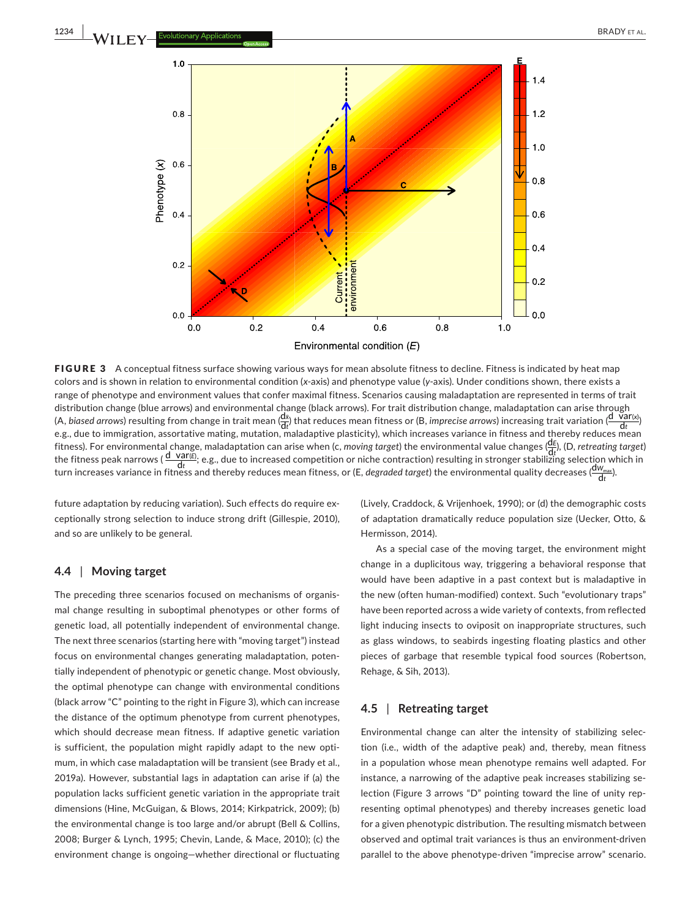

FIGURE 3 A conceptual fitness surface showing various ways for mean absolute fitness to decline. Fitness is indicated by heat map colors and is shown in relation to environmental condition (*x*‐axis) and phenotype value (*y*‐axis). Under conditions shown, there exists a range of phenotype and environment values that confer maximal fitness. Scenarios causing maladaptation are represented in terms of trait distribution change (blue arrows) and environmental change (black arrows). For trait distribution change, maladaptation can arise through (A, *biased arrows*) resulting from change in trait mean  $\frac{d\bar{x}}{dt}$ ) that reduces mean fitness or (B, *imprecise arrows*) increasing trait variation ( $\frac{d\bar{v}ar(x)}{dt}$ ) e.g., due to immigration, assortative mating, mutation, maladaptive plasticity), which increases variance in fitness and thereby reduces mean fitness). For environmental change, maladaptation can arise when (c, *moving target*) the environmental value changes (d*<sup>E</sup>* ), (D, *retreating target*) the fitness, For environmental change, maladaptation can arise when (c, moving target) the environmental value changes ( $\frac{dV_{\text{max}}}{dt}$ ), (D, retreating target),<br>the fitness peak narrows ( $\frac{dV_{\text{max}}}{dt}$ ), e.g., due to

future adaptation by reducing variation). Such effects do require ex‐ ceptionally strong selection to induce strong drift (Gillespie, 2010), and so are unlikely to be general.

### **4.4** | **Moving target**

The preceding three scenarios focused on mechanisms of organis‐ mal change resulting in suboptimal phenotypes or other forms of genetic load, all potentially independent of environmental change. The next three scenarios (starting here with "moving target") instead focus on environmental changes generating maladaptation, poten‐ tially independent of phenotypic or genetic change. Most obviously, the optimal phenotype can change with environmental conditions (black arrow "C" pointing to the right in Figure 3), which can increase the distance of the optimum phenotype from current phenotypes, which should decrease mean fitness. If adaptive genetic variation is sufficient, the population might rapidly adapt to the new optimum, in which case maladaptation will be transient (see Brady et al., 2019a). However, substantial lags in adaptation can arise if (a) the population lacks sufficient genetic variation in the appropriate trait dimensions (Hine, McGuigan, & Blows, 2014; Kirkpatrick, 2009); (b) the environmental change is too large and/or abrupt (Bell & Collins, 2008; Burger & Lynch, 1995; Chevin, Lande, & Mace, 2010); (c) the environment change is ongoing—whether directional or fluctuating

(Lively, Craddock, & Vrijenhoek, 1990); or (d) the demographic costs of adaptation dramatically reduce population size (Uecker, Otto, & Hermisson, 2014).

As a special case of the moving target, the environment might change in a duplicitous way, triggering a behavioral response that would have been adaptive in a past context but is maladaptive in the new (often human‐modified) context. Such "evolutionary traps" have been reported across a wide variety of contexts, from reflected light inducing insects to oviposit on inappropriate structures, such as glass windows, to seabirds ingesting floating plastics and other pieces of garbage that resemble typical food sources (Robertson, Rehage, & Sih, 2013).

### **4.5** | **Retreating target**

Environmental change can alter the intensity of stabilizing selec‐ tion (i.e., width of the adaptive peak) and, thereby, mean fitness in a population whose mean phenotype remains well adapted. For instance, a narrowing of the adaptive peak increases stabilizing se‐ lection (Figure 3 arrows "D" pointing toward the line of unity rep‐ resenting optimal phenotypes) and thereby increases genetic load for a given phenotypic distribution. The resulting mismatch between observed and optimal trait variances is thus an environment‐driven parallel to the above phenotype-driven "imprecise arrow" scenario.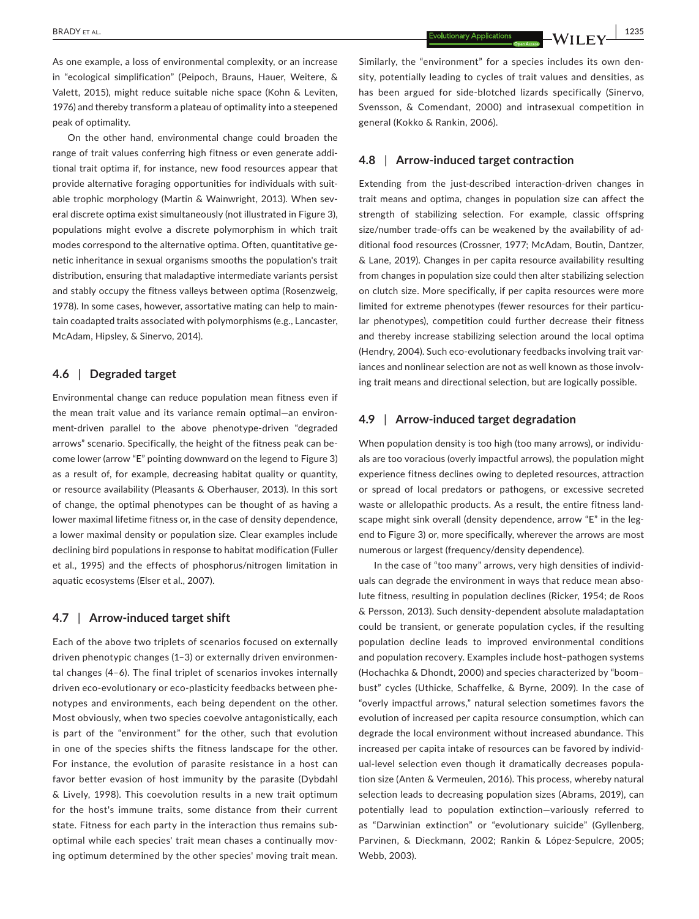As one example, a loss of environmental complexity, or an increase in "ecological simplification" (Peipoch, Brauns, Hauer, Weitere, & Valett, 2015), might reduce suitable niche space (Kohn & Leviten, 1976) and thereby transform a plateau of optimality into a steepened peak of optimality.

On the other hand, environmental change could broaden the range of trait values conferring high fitness or even generate addi‐ tional trait optima if, for instance, new food resources appear that provide alternative foraging opportunities for individuals with suitable trophic morphology (Martin & Wainwright, 2013). When several discrete optima exist simultaneously (not illustrated in Figure 3), populations might evolve a discrete polymorphism in which trait modes correspond to the alternative optima. Often, quantitative ge‐ netic inheritance in sexual organisms smooths the population's trait distribution, ensuring that maladaptive intermediate variants persist and stably occupy the fitness valleys between optima (Rosenzweig, 1978). In some cases, however, assortative mating can help to main‐ tain coadapted traits associated with polymorphisms (e.g., Lancaster, McAdam, Hipsley, & Sinervo, 2014).

### **4.6** | **Degraded target**

Environmental change can reduce population mean fitness even if the mean trait value and its variance remain optimal—an environ‐ ment-driven parallel to the above phenotype-driven "degraded arrows" scenario. Specifically, the height of the fitness peak can be‐ come lower (arrow "E" pointing downward on the legend to Figure 3) as a result of, for example, decreasing habitat quality or quantity, or resource availability (Pleasants & Oberhauser, 2013). In this sort of change, the optimal phenotypes can be thought of as having a lower maximal lifetime fitness or, in the case of density dependence, a lower maximal density or population size. Clear examples include declining bird populations in response to habitat modification (Fuller et al., 1995) and the effects of phosphorus/nitrogen limitation in aquatic ecosystems (Elser et al., 2007).

#### **4.7** | **Arrow‐induced target shift**

Each of the above two triplets of scenarios focused on externally driven phenotypic changes (1–3) or externally driven environmen‐ tal changes (4–6). The final triplet of scenarios invokes internally driven eco-evolutionary or eco-plasticity feedbacks between phenotypes and environments, each being dependent on the other. Most obviously, when two species coevolve antagonistically, each is part of the "environment" for the other, such that evolution in one of the species shifts the fitness landscape for the other. For instance, the evolution of parasite resistance in a host can favor better evasion of host immunity by the parasite (Dybdahl & Lively, 1998). This coevolution results in a new trait optimum for the host's immune traits, some distance from their current state. Fitness for each party in the interaction thus remains sub‐ optimal while each species' trait mean chases a continually moving optimum determined by the other species' moving trait mean. Similarly, the "environment" for a species includes its own den‐ sity, potentially leading to cycles of trait values and densities, as has been argued for side-blotched lizards specifically (Sinervo, Svensson, & Comendant, 2000) and intrasexual competition in general (Kokko & Rankin, 2006).

#### **4.8** | **Arrow‐induced target contraction**

Extending from the just-described interaction-driven changes in trait means and optima, changes in population size can affect the strength of stabilizing selection. For example, classic offspring size/number trade-offs can be weakened by the availability of additional food resources (Crossner, 1977; McAdam, Boutin, Dantzer, & Lane, 2019). Changes in per capita resource availability resulting from changes in population size could then alter stabilizing selection on clutch size. More specifically, if per capita resources were more limited for extreme phenotypes (fewer resources for their particu‐ lar phenotypes), competition could further decrease their fitness and thereby increase stabilizing selection around the local optima (Hendry, 2004). Such eco-evolutionary feedbacks involving trait variances and nonlinear selection are not as well known as those involving trait means and directional selection, but are logically possible.

## **4.9** | **Arrow‐induced target degradation**

When population density is too high (too many arrows), or individuals are too voracious (overly impactful arrows), the population might experience fitness declines owing to depleted resources, attraction or spread of local predators or pathogens, or excessive secreted waste or allelopathic products. As a result, the entire fitness land‐ scape might sink overall (density dependence, arrow "E" in the legend to Figure 3) or, more specifically, wherever the arrows are most numerous or largest (frequency/density dependence).

In the case of "too many" arrows, very high densities of individ‐ uals can degrade the environment in ways that reduce mean absolute fitness, resulting in population declines (Ricker, 1954; de Roos & Persson, 2013). Such density‐dependent absolute maladaptation could be transient, or generate population cycles, if the resulting population decline leads to improved environmental conditions and population recovery. Examples include host–pathogen systems (Hochachka & Dhondt, 2000) and species characterized by "boom– bust" cycles (Uthicke, Schaffelke, & Byrne, 2009). In the case of "overly impactful arrows," natural selection sometimes favors the evolution of increased per capita resource consumption, which can degrade the local environment without increased abundance. This increased per capita intake of resources can be favored by individ‐ ual-level selection even though it dramatically decreases population size (Anten & Vermeulen, 2016). This process, whereby natural selection leads to decreasing population sizes (Abrams, 2019), can potentially lead to population extinction—variously referred to as "Darwinian extinction" or "evolutionary suicide" (Gyllenberg, Parvinen, & Dieckmann, 2002; Rankin & López‐Sepulcre, 2005; Webb, 2003).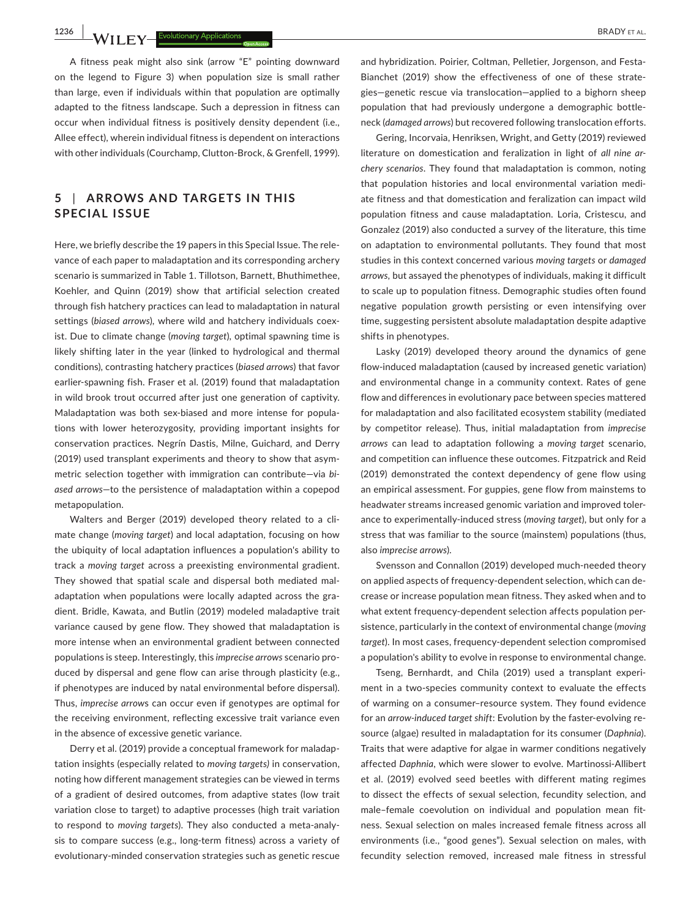**1236 |BRADY** ET AL. **EXPLOSITIONS BRADY ET AL. EXPLOSITION BRADY** ET AL.

A fitness peak might also sink (arrow "E" pointing downward on the legend to Figure 3) when population size is small rather than large, even if individuals within that population are optimally adapted to the fitness landscape. Such a depression in fitness can occur when individual fitness is positively density dependent (i.e., Allee effect), wherein individual fitness is dependent on interactions with other individuals (Courchamp, Clutton‐Brock, & Grenfell, 1999).

## **5** | **ARROWS AND TARGETS IN THIS SPECIAL ISSUE**

Here, we briefly describe the 19 papers in this Special Issue. The rele‐ vance of each paper to maladaptation and its corresponding archery scenario is summarized in Table 1. Tillotson, Barnett, Bhuthimethee, Koehler, and Quinn (2019) show that artificial selection created through fish hatchery practices can lead to maladaptation in natural settings (*biased arrows*), where wild and hatchery individuals coex‐ ist. Due to climate change (*moving target*), optimal spawning time is likely shifting later in the year (linked to hydrological and thermal conditions), contrasting hatchery practices (*biased arrows*) that favor earlier-spawning fish. Fraser et al. (2019) found that maladaptation in wild brook trout occurred after just one generation of captivity. Maladaptation was both sex-biased and more intense for populations with lower heterozygosity, providing important insights for conservation practices. Negrín Dastis, Milne, Guichard, and Derry (2019) used transplant experiments and theory to show that asym‐ metric selection together with immigration can contribute—via *bi‐ ased arrows*—to the persistence of maladaptation within a copepod metapopulation.

Walters and Berger (2019) developed theory related to a cli‐ mate change (*moving target*) and local adaptation, focusing on how the ubiquity of local adaptation influences a population's ability to track a *moving target* across a preexisting environmental gradient. They showed that spatial scale and dispersal both mediated mal‐ adaptation when populations were locally adapted across the gradient. Bridle, Kawata, and Butlin (2019) modeled maladaptive trait variance caused by gene flow. They showed that maladaptation is more intense when an environmental gradient between connected populations is steep. Interestingly, this *imprecise arrows* scenario pro‐ duced by dispersal and gene flow can arise through plasticity (e.g., if phenotypes are induced by natal environmental before dispersal). Thus, *imprecise arrow*s can occur even if genotypes are optimal for the receiving environment, reflecting excessive trait variance even in the absence of excessive genetic variance.

Derry et al. (2019) provide a conceptual framework for maladap‐ tation insights (especially related to *moving targets)* in conservation, noting how different management strategies can be viewed in terms of a gradient of desired outcomes, from adaptive states (low trait variation close to target) to adaptive processes (high trait variation to respond to *moving targets*). They also conducted a meta‐analy‐ sis to compare success (e.g., long-term fitness) across a variety of evolutionary‐minded conservation strategies such as genetic rescue

and hvbridization. Poirier, Coltman, Pelletier, Jorgenson, and Festa-Bianchet (2019) show the effectiveness of one of these strate‐ gies—genetic rescue via translocation—applied to a bighorn sheep population that had previously undergone a demographic bottle‐ neck (*damaged arrows*) but recovered following translocation efforts.

Gering, Incorvaia, Henriksen, Wright, and Getty (2019) reviewed literature on domestication and feralization in light of *all nine ar‐ chery scenarios*. They found that maladaptation is common, noting that population histories and local environmental variation medi‐ ate fitness and that domestication and feralization can impact wild population fitness and cause maladaptation. Loria, Cristescu, and Gonzalez (2019) also conducted a survey of the literature, this time on adaptation to environmental pollutants. They found that most studies in this context concerned various *moving targets* or *damaged arrows,* but assayed the phenotypes of individuals, making it difficult to scale up to population fitness. Demographic studies often found negative population growth persisting or even intensifying over time, suggesting persistent absolute maladaptation despite adaptive shifts in phenotypes.

Lasky (2019) developed theory around the dynamics of gene flow-induced maladaptation (caused by increased genetic variation) and environmental change in a community context. Rates of gene flow and differences in evolutionary pace between species mattered for maladaptation and also facilitated ecosystem stability (mediated by competitor release). Thus, initial maladaptation from *imprecise arrows* can lead to adaptation following a *moving target* scenario, and competition can influence these outcomes. Fitzpatrick and Reid (2019) demonstrated the context dependency of gene flow using an empirical assessment. For guppies, gene flow from mainstems to headwater streams increased genomic variation and improved toler‐ ance to experimentally‐induced stress (*moving target*), but only for a stress that was familiar to the source (mainstem) populations (thus, also *imprecise arrows*).

Svensson and Connallon (2019) developed much‐needed theory on applied aspects of frequency‐dependent selection, which can de‐ crease or increase population mean fitness. They asked when and to what extent frequency-dependent selection affects population persistence, particularly in the context of environmental change (*moving target*). In most cases, frequency‐dependent selection compromised a population's ability to evolve in response to environmental change.

Tseng, Bernhardt, and Chila (2019) used a transplant experi‐ ment in a two-species community context to evaluate the effects of warming on a consumer–resource system. They found evidence for an *arrow-induced target shift*: Evolution by the faster-evolving resource (algae) resulted in maladaptation for its consumer (*Daphnia*). Traits that were adaptive for algae in warmer conditions negatively affected *Daphnia*, which were slower to evolve. Martinossi‐Allibert et al. (2019) evolved seed beetles with different mating regimes to dissect the effects of sexual selection, fecundity selection, and male-female coevolution on individual and population mean fitness. Sexual selection on males increased female fitness across all environments (i.e., "good genes"). Sexual selection on males, with fecundity selection removed, increased male fitness in stressful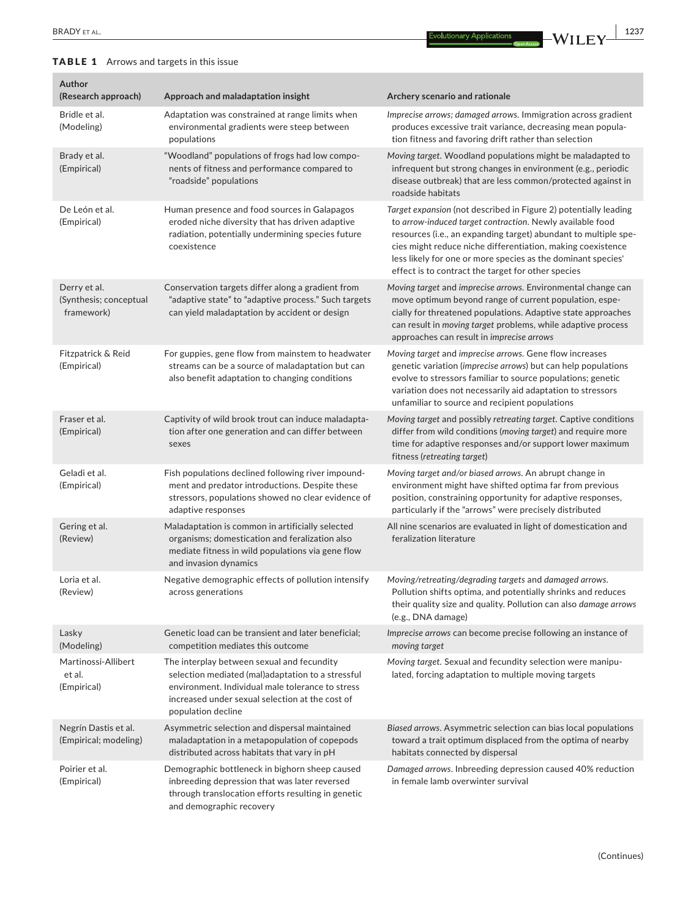## TABLE 1 Arrows and targets in this issue

| Author<br>(Research approach)                        | Approach and maladaptation insight                                                                                                                                                                                           | Archery scenario and rationale                                                                                                                                                                                                                                                                                                                                                        |
|------------------------------------------------------|------------------------------------------------------------------------------------------------------------------------------------------------------------------------------------------------------------------------------|---------------------------------------------------------------------------------------------------------------------------------------------------------------------------------------------------------------------------------------------------------------------------------------------------------------------------------------------------------------------------------------|
| Bridle et al.<br>(Modeling)                          | Adaptation was constrained at range limits when<br>environmental gradients were steep between<br>populations                                                                                                                 | Imprecise arrows; damaged arrows. Immigration across gradient<br>produces excessive trait variance, decreasing mean popula-<br>tion fitness and favoring drift rather than selection                                                                                                                                                                                                  |
| Brady et al.<br>(Empirical)                          | "Woodland" populations of frogs had low compo-<br>nents of fitness and performance compared to<br>"roadside" populations                                                                                                     | Moving target. Woodland populations might be maladapted to<br>infrequent but strong changes in environment (e.g., periodic<br>disease outbreak) that are less common/protected against in<br>roadside habitats                                                                                                                                                                        |
| De León et al.<br>(Empirical)                        | Human presence and food sources in Galapagos<br>eroded niche diversity that has driven adaptive<br>radiation, potentially undermining species future<br>coexistence                                                          | Target expansion (not described in Figure 2) potentially leading<br>to arrow-induced target contraction. Newly available food<br>resources (i.e., an expanding target) abundant to multiple spe-<br>cies might reduce niche differentiation, making coexistence<br>less likely for one or more species as the dominant species'<br>effect is to contract the target for other species |
| Derry et al.<br>(Synthesis; conceptual<br>framework) | Conservation targets differ along a gradient from<br>"adaptive state" to "adaptive process." Such targets<br>can yield maladaptation by accident or design                                                                   | Moving target and imprecise arrows. Environmental change can<br>move optimum beyond range of current population, espe-<br>cially for threatened populations. Adaptive state approaches<br>can result in moving target problems, while adaptive process<br>approaches can result in imprecise arrows                                                                                   |
| Fitzpatrick & Reid<br>(Empirical)                    | For guppies, gene flow from mainstem to headwater<br>streams can be a source of maladaptation but can<br>also benefit adaptation to changing conditions                                                                      | Moving target and imprecise arrows. Gene flow increases<br>genetic variation (imprecise arrows) but can help populations<br>evolve to stressors familiar to source populations; genetic<br>variation does not necessarily aid adaptation to stressors<br>unfamiliar to source and recipient populations                                                                               |
| Fraser et al.<br>(Empirical)                         | Captivity of wild brook trout can induce maladapta-<br>tion after one generation and can differ between<br>sexes                                                                                                             | Moving target and possibly retreating target. Captive conditions<br>differ from wild conditions (moving target) and require more<br>time for adaptive responses and/or support lower maximum<br>fitness (retreating target)                                                                                                                                                           |
| Geladi et al.<br>(Empirical)                         | Fish populations declined following river impound-<br>ment and predator introductions. Despite these<br>stressors, populations showed no clear evidence of<br>adaptive responses                                             | Moving target and/or biased arrows. An abrupt change in<br>environment might have shifted optima far from previous<br>position, constraining opportunity for adaptive responses,<br>particularly if the "arrows" were precisely distributed                                                                                                                                           |
| Gering et al.<br>(Review)                            | Maladaptation is common in artificially selected<br>organisms; domestication and feralization also<br>mediate fitness in wild populations via gene flow<br>and invasion dynamics                                             | All nine scenarios are evaluated in light of domestication and<br>feralization literature                                                                                                                                                                                                                                                                                             |
| Loria et al.<br>(Review)                             | Negative demographic effects of pollution intensify<br>across generations                                                                                                                                                    | Moving/retreating/degrading targets and damaged arrows.<br>Pollution shifts optima, and potentially shrinks and reduces<br>their quality size and quality. Pollution can also damage arrows<br>(e.g., DNA damage)                                                                                                                                                                     |
| Lasky<br>(Modeling)                                  | Genetic load can be transient and later beneficial;<br>competition mediates this outcome                                                                                                                                     | Imprecise arrows can become precise following an instance of<br>moving target                                                                                                                                                                                                                                                                                                         |
| Martinossi-Allibert<br>et al.<br>(Empirical)         | The interplay between sexual and fecundity<br>selection mediated (mal)adaptation to a stressful<br>environment. Individual male tolerance to stress<br>increased under sexual selection at the cost of<br>population decline | Moving target. Sexual and fecundity selection were manipu-<br>lated, forcing adaptation to multiple moving targets                                                                                                                                                                                                                                                                    |
| Negrín Dastis et al.<br>(Empirical; modeling)        | Asymmetric selection and dispersal maintained<br>maladaptation in a metapopulation of copepods<br>distributed across habitats that vary in pH                                                                                | Biased arrows. Asymmetric selection can bias local populations<br>toward a trait optimum displaced from the optima of nearby<br>habitats connected by dispersal                                                                                                                                                                                                                       |
| Poirier et al.<br>(Empirical)                        | Demographic bottleneck in bighorn sheep caused<br>inbreeding depression that was later reversed<br>through translocation efforts resulting in genetic<br>and demographic recovery                                            | Damaged arrows. Inbreeding depression caused 40% reduction<br>in female lamb overwinter survival                                                                                                                                                                                                                                                                                      |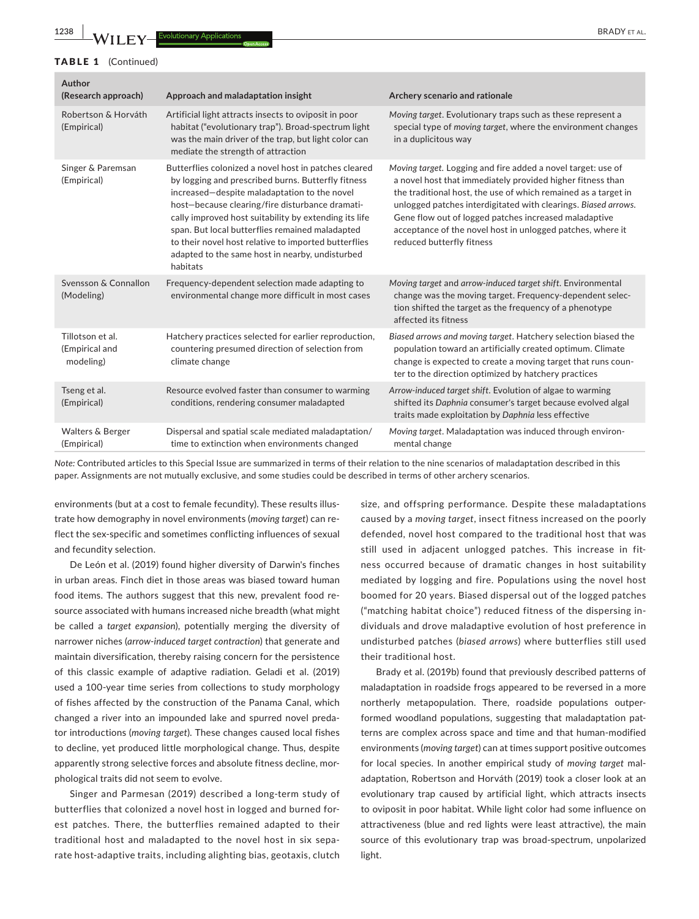| Author<br>(Research approach)                   | Approach and maladaptation insight                                                                                                                                                                                                                                                                                                                                                                                                                | Archery scenario and rationale                                                                                                                                                                                                                                                                                                                                                                                     |
|-------------------------------------------------|---------------------------------------------------------------------------------------------------------------------------------------------------------------------------------------------------------------------------------------------------------------------------------------------------------------------------------------------------------------------------------------------------------------------------------------------------|--------------------------------------------------------------------------------------------------------------------------------------------------------------------------------------------------------------------------------------------------------------------------------------------------------------------------------------------------------------------------------------------------------------------|
| Robertson & Horváth<br>(Empirical)              | Artificial light attracts insects to oviposit in poor<br>habitat ("evolutionary trap"). Broad-spectrum light<br>was the main driver of the trap, but light color can<br>mediate the strength of attraction                                                                                                                                                                                                                                        | Moving target. Evolutionary traps such as these represent a<br>special type of moving target, where the environment changes<br>in a duplicitous way                                                                                                                                                                                                                                                                |
| Singer & Paremsan<br>(Empirical)                | Butterflies colonized a novel host in patches cleared<br>by logging and prescribed burns. Butterfly fitness<br>increased-despite maladaptation to the novel<br>host-because clearing/fire disturbance dramati-<br>cally improved host suitability by extending its life<br>span. But local butterflies remained maladapted<br>to their novel host relative to imported butterflies<br>adapted to the same host in nearby, undisturbed<br>habitats | Moving target. Logging and fire added a novel target: use of<br>a novel host that immediately provided higher fitness than<br>the traditional host, the use of which remained as a target in<br>unlogged patches interdigitated with clearings. Biased arrows.<br>Gene flow out of logged patches increased maladaptive<br>acceptance of the novel host in unlogged patches, where it<br>reduced butterfly fitness |
| Svensson & Connallon<br>(Modeling)              | Frequency-dependent selection made adapting to<br>environmental change more difficult in most cases                                                                                                                                                                                                                                                                                                                                               | Moving target and arrow-induced target shift. Environmental<br>change was the moving target. Frequency-dependent selec-<br>tion shifted the target as the frequency of a phenotype<br>affected its fitness                                                                                                                                                                                                         |
| Tillotson et al.<br>(Empirical and<br>modeling) | Hatchery practices selected for earlier reproduction,<br>countering presumed direction of selection from<br>climate change                                                                                                                                                                                                                                                                                                                        | Biased arrows and moving target. Hatchery selection biased the<br>population toward an artificially created optimum. Climate<br>change is expected to create a moving target that runs coun-<br>ter to the direction optimized by hatchery practices                                                                                                                                                               |
| Tseng et al.<br>(Empirical)                     | Resource evolved faster than consumer to warming<br>conditions, rendering consumer maladapted                                                                                                                                                                                                                                                                                                                                                     | Arrow-induced target shift. Evolution of algae to warming<br>shifted its Daphnia consumer's target because evolved algal<br>traits made exploitation by Daphnia less effective                                                                                                                                                                                                                                     |
| Walters & Berger<br>(Empirical)                 | Dispersal and spatial scale mediated maladaptation/<br>time to extinction when environments changed                                                                                                                                                                                                                                                                                                                                               | Moving target. Maladaptation was induced through environ-<br>mental change                                                                                                                                                                                                                                                                                                                                         |

*Note:* Contributed articles to this Special Issue are summarized in terms of their relation to the nine scenarios of maladaptation described in this paper. Assignments are not mutually exclusive, and some studies could be described in terms of other archery scenarios.

environments (but at a cost to female fecundity). These results illustrate how demography in novel environments (*moving target*) can re‐ flect the sex-specific and sometimes conflicting influences of sexual and fecundity selection.

De León et al. (2019) found higher diversity of Darwin's finches in urban areas. Finch diet in those areas was biased toward human food items. The authors suggest that this new, prevalent food re‐ source associated with humans increased niche breadth (what might be called a *target expansion*), potentially merging the diversity of narrower niches (*arrow‐induced target contraction*) that generate and maintain diversification, thereby raising concern for the persistence of this classic example of adaptive radiation. Geladi et al. (2019) used a 100‐year time series from collections to study morphology of fishes affected by the construction of the Panama Canal, which changed a river into an impounded lake and spurred novel preda‐ tor introductions (*moving target*). These changes caused local fishes to decline, yet produced little morphological change. Thus, despite apparently strong selective forces and absolute fitness decline, morphological traits did not seem to evolve.

Singer and Parmesan (2019) described a long‐term study of butterflies that colonized a novel host in logged and burned for‐ est patches. There, the butterflies remained adapted to their traditional host and maladapted to the novel host in six sepa‐ rate host-adaptive traits, including alighting bias, geotaxis, clutch

size, and offspring performance. Despite these maladaptations caused by a *moving target*, insect fitness increased on the poorly defended, novel host compared to the traditional host that was still used in adjacent unlogged patches. This increase in fitness occurred because of dramatic changes in host suitability mediated by logging and fire. Populations using the novel host boomed for 20 years. Biased dispersal out of the logged patches ("matching habitat choice") reduced fitness of the dispersing in‐ dividuals and drove maladaptive evolution of host preference in undisturbed patches (*biased arrows*) where butterflies still used their traditional host.

Brady et al. (2019b) found that previously described patterns of maladaptation in roadside frogs appeared to be reversed in a more northerly metapopulation. There, roadside populations outper‐ formed woodland populations, suggesting that maladaptation pat‐ terns are complex across space and time and that human‐modified environments (*moving target*) can at times support positive outcomes for local species. In another empirical study of *moving target* mal‐ adaptation, Robertson and Horváth (2019) took a closer look at an evolutionary trap caused by artificial light, which attracts insects to oviposit in poor habitat. While light color had some influence on attractiveness (blue and red lights were least attractive), the main source of this evolutionary trap was broad‐spectrum, unpolarized light.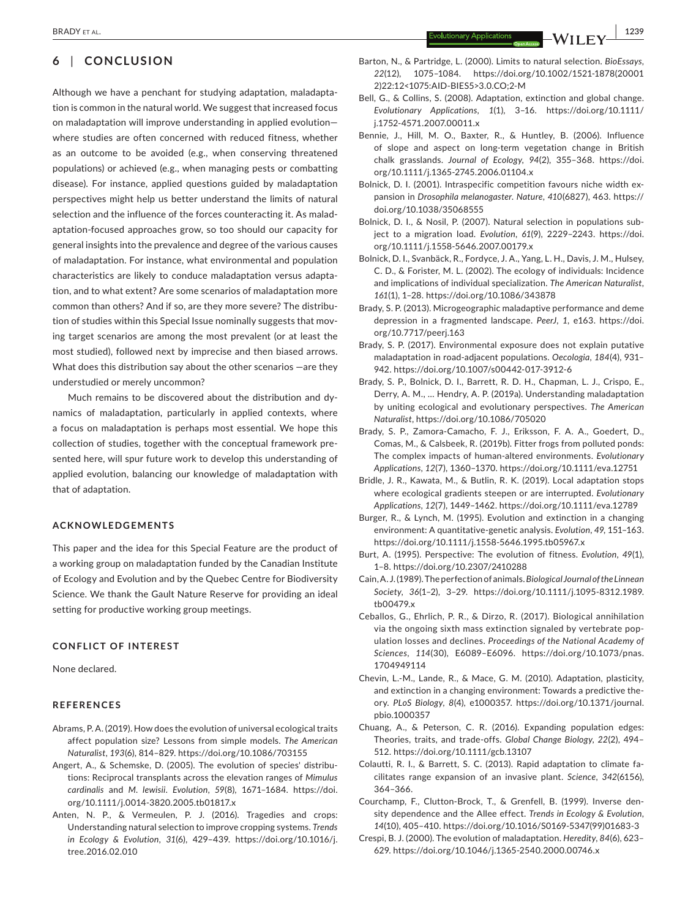**BRADY** ET AL. **1239** 

## **6** | **CONCLUSION**

Although we have a penchant for studying adaptation, maladapta‐ tion is common in the natural world. We suggest that increased focus on maladaptation will improve understanding in applied evolution where studies are often concerned with reduced fitness, whether as an outcome to be avoided (e.g., when conserving threatened populations) or achieved (e.g., when managing pests or combatting disease). For instance, applied questions guided by maladaptation perspectives might help us better understand the limits of natural selection and the influence of the forces counteracting it. As malad‐ aptation-focused approaches grow, so too should our capacity for general insights into the prevalence and degree of the various causes of maladaptation. For instance, what environmental and population characteristics are likely to conduce maladaptation versus adapta‐ tion, and to what extent? Are some scenarios of maladaptation more common than others? And if so, are they more severe? The distribution of studies within this Special Issue nominally suggests that moving target scenarios are among the most prevalent (or at least the most studied), followed next by imprecise and then biased arrows. What does this distribution say about the other scenarios —are they understudied or merely uncommon?

Much remains to be discovered about the distribution and dy‐ namics of maladaptation, particularly in applied contexts, where a focus on maladaptation is perhaps most essential. We hope this collection of studies, together with the conceptual framework pre‐ sented here, will spur future work to develop this understanding of applied evolution, balancing our knowledge of maladaptation with that of adaptation.

#### **ACKNOWLEDGEMENTS**

This paper and the idea for this Special Feature are the product of a working group on maladaptation funded by the Canadian Institute of Ecology and Evolution and by the Quebec Centre for Biodiversity Science. We thank the Gault Nature Reserve for providing an ideal setting for productive working group meetings.

#### **CONFLICT OF INTEREST**

None declared.

#### **REFERENCES**

- Abrams, P. A. (2019). How does the evolution of universal ecological traits affect population size? Lessons from simple models. *The American Naturalist*, *193*(6), 814–829. <https://doi.org/10.1086/703155>
- Angert, A., & Schemske, D. (2005). The evolution of species' distribu‐ tions: Reciprocal transplants across the elevation ranges of *Mimulus cardinalis* and *M. lewisii*. *Evolution*, *59*(8), 1671–1684. [https://doi.](https://doi.org/10.1111/j.0014-3820.2005.tb01817.x) [org/10.1111/j.0014-3820.2005.tb01817.x](https://doi.org/10.1111/j.0014-3820.2005.tb01817.x)
- Anten, N. P., & Vermeulen, P. J. (2016). Tragedies and crops: Understanding natural selection to improve cropping systems. *Trends in Ecology & Evolution*, *31*(6), 429–439. [https://doi.org/10.1016/j.](https://doi.org/10.1016/j.tree.2016.02.010) [tree.2016.02.010](https://doi.org/10.1016/j.tree.2016.02.010)
- Barton, N., & Partridge, L. (2000). Limits to natural selection. *BioEssays*, *22*(12), 1075–1084. [https://doi.org/10.1002/1521-1878\(20001](https://doi.org/10.1002/1521-1878(200012)22:12%3C1075:AID-BIES5%3E3.0.CO;2-M) [2\)22:12<1075:AID-BIES5>3.0.CO;2-M](https://doi.org/10.1002/1521-1878(200012)22:12%3C1075:AID-BIES5%3E3.0.CO;2-M)
- Bell, G., & Collins, S. (2008). Adaptation, extinction and global change. *Evolutionary Applications*, *1*(1), 3–16. [https://doi.org/10.1111/](https://doi.org/10.1111/j.1752-4571.2007.00011.x) [j.1752-4571.2007.00011.x](https://doi.org/10.1111/j.1752-4571.2007.00011.x)
- Bennie, J., Hill, M. O., Baxter, R., & Huntley, B. (2006). Influence of slope and aspect on long‐term vegetation change in British chalk grasslands. *Journal of Ecology*, *94*(2), 355–368. [https://doi.](https://doi.org/10.1111/j.1365-2745.2006.01104.x) [org/10.1111/j.1365-2745.2006.01104.x](https://doi.org/10.1111/j.1365-2745.2006.01104.x)
- Bolnick, D. I. (2001). Intraspecific competition favours niche width ex‐ pansion in *Drosophila melanogaster*. *Nature*, *410*(6827), 463. [https://](https://doi.org/10.1038/35068555) [doi.org/10.1038/35068555](https://doi.org/10.1038/35068555)
- Bolnick, D. I., & Nosil, P. (2007). Natural selection in populations sub‐ ject to a migration load. *Evolution*, *61*(9), 2229–2243. [https://doi.](https://doi.org/10.1111/j.1558-5646.2007.00179.x) [org/10.1111/j.1558-5646.2007.00179.x](https://doi.org/10.1111/j.1558-5646.2007.00179.x)
- Bolnick, D. I., Svanbäck, R., Fordyce, J. A., Yang, L. H., Davis, J. M., Hulsey, C. D., & Forister, M. L. (2002). The ecology of individuals: Incidence and implications of individual specialization. *The American Naturalist*, *161*(1), 1–28.<https://doi.org/10.1086/343878>
- Brady, S. P. (2013). Microgeographic maladaptive performance and deme depression in a fragmented landscape. *PeerJ*, *1*, e163. [https://doi.](https://doi.org/10.7717/peerj.163) [org/10.7717/peerj.163](https://doi.org/10.7717/peerj.163)
- Brady, S. P. (2017). Environmental exposure does not explain putative maladaptation in road‐adjacent populations. *Oecologia*, *184*(4), 931– 942. <https://doi.org/10.1007/s00442-017-3912-6>
- Brady, S. P., Bolnick, D. I., Barrett, R. D. H., Chapman, L. J., Crispo, E., Derry, A. M., … Hendry, A. P. (2019a). Understanding maladaptation by uniting ecological and evolutionary perspectives. *The American Naturalist*, <https://doi.org/10.1086/705020>
- Brady, S. P., Zamora‐Camacho, F. J., Eriksson, F. A. A., Goedert, D., Comas, M., & Calsbeek, R. (2019b). Fitter frogs from polluted ponds: The complex impacts of human‐altered environments. *Evolutionary Applications*, *12*(7), 1360–1370.<https://doi.org/10.1111/eva.12751>
- Bridle, J. R., Kawata, M., & Butlin, R. K. (2019). Local adaptation stops where ecological gradients steepen or are interrupted. *Evolutionary Applications*, *12*(7), 1449–1462. <https://doi.org/10.1111/eva.12789>
- Burger, R., & Lynch, M. (1995). Evolution and extinction in a changing environment: A quantitative‐genetic analysis. *Evolution*, *49*, 151–163. <https://doi.org/10.1111/j.1558-5646.1995.tb05967.x>
- Burt, A. (1995). Perspective: The evolution of fitness. *Evolution*, *49*(1), 1–8.<https://doi.org/10.2307/2410288>
- Cain, A. J. (1989). The perfection of animals. *Biological Journal of the Linnean Society*, *36*(1–2), 3–29. [https://doi.org/10.1111/j.1095-8312.1989.](https://doi.org/10.1111/j.1095-8312.1989.tb00479.x) [tb00479.x](https://doi.org/10.1111/j.1095-8312.1989.tb00479.x)
- Ceballos, G., Ehrlich, P. R., & Dirzo, R. (2017). Biological annihilation via the ongoing sixth mass extinction signaled by vertebrate pop‐ ulation losses and declines. *Proceedings of the National Academy of Sciences*, *114*(30), E6089–E6096. [https://doi.org/10.1073/pnas.](https://doi.org/10.1073/pnas.1704949114) [1704949114](https://doi.org/10.1073/pnas.1704949114)
- Chevin, L.‐M., Lande, R., & Mace, G. M. (2010). Adaptation, plasticity, and extinction in a changing environment: Towards a predictive the‐ ory. *PLoS Biology*, *8*(4), e1000357. [https://doi.org/10.1371/journal.](https://doi.org/10.1371/journal.pbio.1000357) [pbio.1000357](https://doi.org/10.1371/journal.pbio.1000357)
- Chuang, A., & Peterson, C. R. (2016). Expanding population edges: Theories, traits, and trade‐offs. *Global Change Biology*, *22*(2), 494– 512.<https://doi.org/10.1111/gcb.13107>
- Colautti, R. I., & Barrett, S. C. (2013). Rapid adaptation to climate fa‐ cilitates range expansion of an invasive plant. *Science*, *342*(6156), 364–366.
- Courchamp, F., Clutton‐Brock, T., & Grenfell, B. (1999). Inverse den‐ sity dependence and the Allee effect. *Trends in Ecology & Evolution*, *14*(10), 405–410. [https://doi.org/10.1016/S0169-5347\(99\)01683-3](https://doi.org/10.1016/S0169-5347(99)01683-3)
- Crespi, B. J. (2000). The evolution of maladaptation. *Heredity*, *84*(6), 623– 629.<https://doi.org/10.1046/j.1365-2540.2000.00746.x>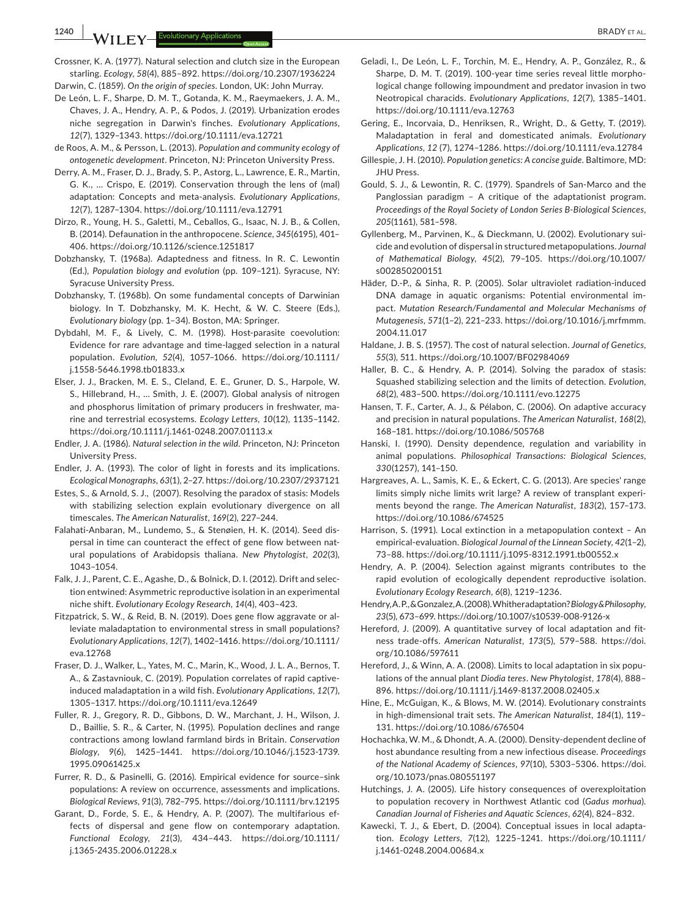**1240 |**  BRADY et al.

Crossner, K. A. (1977). Natural selection and clutch size in the European starling. *Ecology*, *58*(4), 885–892. <https://doi.org/10.2307/1936224>

Darwin, C. (1859). *On the origin of species*. London, UK: John Murray.

- De León, L. F., Sharpe, D. M. T., Gotanda, K. M., Raeymaekers, J. A. M., Chaves, J. A., Hendry, A. P., & Podos, J. (2019). Urbanization erodes niche segregation in Darwin's finches. *Evolutionary Applications*, *12*(7), 1329–1343.<https://doi.org/10.1111/eva.12721>
- de Roos, A. M., & Persson, L. (2013). *Population and community ecology of ontogenetic development*. Princeton, NJ: Princeton University Press.
- Derry, A. M., Fraser, D. J., Brady, S. P., Astorg, L., Lawrence, E. R., Martin, G. K., … Crispo, E. (2019). Conservation through the lens of (mal) adaptation: Concepts and meta‐analysis. *Evolutionary Applications*, *12*(7), 1287–1304. <https://doi.org/10.1111/eva.12791>
- Dirzo, R., Young, H. S., Galetti, M., Ceballos, G., Isaac, N. J. B., & Collen, B. (2014). Defaunation in the anthropocene. *Science*, *345*(6195), 401– 406. <https://doi.org/10.1126/science.1251817>
- Dobzhansky, T. (1968a). Adaptedness and fitness. In R. C. Lewontin (Ed.), *Population biology and evolution* (pp. 109–121). Syracuse, NY: Syracuse University Press.
- Dobzhansky, T. (1968b). On some fundamental concepts of Darwinian biology. In T. Dobzhansky, M. K. Hecht, & W. C. Steere (Eds.), *Evolutionary biology* (pp. 1–34). Boston, MA: Springer.
- Dybdahl, M. F., & Lively, C. M. (1998). Host-parasite coevolution: Evidence for rare advantage and time‐lagged selection in a natural population. *Evolution*, *52*(4), 1057–1066. [https://doi.org/10.1111/](https://doi.org/10.1111/j.1558-5646.1998.tb01833.x) [j.1558-5646.1998.tb01833.x](https://doi.org/10.1111/j.1558-5646.1998.tb01833.x)
- Elser, J. J., Bracken, M. E. S., Cleland, E. E., Gruner, D. S., Harpole, W. S., Hillebrand, H., … Smith, J. E. (2007). Global analysis of nitrogen and phosphorus limitation of primary producers in freshwater, ma‐ rine and terrestrial ecosystems. *Ecology Letters*, *10*(12), 1135–1142. <https://doi.org/10.1111/j.1461-0248.2007.01113.x>
- Endler, J. A. (1986). *Natural selection in the wild*. Princeton, NJ: Princeton University Press.
- Endler, J. A. (1993). The color of light in forests and its implications. *Ecological Monographs*, *63*(1), 2–27.<https://doi.org/10.2307/2937121>
- Estes, S., & Arnold, S. J., (2007). Resolving the paradox of stasis: Models with stabilizing selection explain evolutionary divergence on all timescales. *The American Naturalist*, *169*(2), 227–244.
- Falahati‐Anbaran, M., Lundemo, S., & Stenøien, H. K. (2014). Seed dis‐ persal in time can counteract the effect of gene flow between natural populations of Arabidopsis thaliana. *New Phytologist*, *202*(3), 1043–1054.
- Falk, J. J., Parent, C. E., Agashe, D., & Bolnick, D. I. (2012). Drift and selec‐ tion entwined: Asymmetric reproductive isolation in an experimental niche shift. *Evolutionary Ecology Research*, *14*(4), 403–423.
- Fitzpatrick, S. W., & Reid, B. N. (2019). Does gene flow aggravate or al‐ leviate maladaptation to environmental stress in small populations? *Evolutionary Applications*, *12*(7), 1402–1416. [https://doi.org/10.1111/](https://doi.org/10.1111/eva.12768) [eva.12768](https://doi.org/10.1111/eva.12768)
- Fraser, D. J., Walker, L., Yates, M. C., Marin, K., Wood, J. L. A., Bernos, T. A., & Zastavniouk, C. (2019). Population correlates of rapid captive‐ induced maladaptation in a wild fish. *Evolutionary Applications*, *12*(7), 1305–1317.<https://doi.org/10.1111/eva.12649>
- Fuller, R. J., Gregory, R. D., Gibbons, D. W., Marchant, J. H., Wilson, J. D., Baillie, S. R., & Carter, N. (1995). Population declines and range contractions among lowland farmland birds in Britain. *Conservation Biology*, *9*(6), 1425–1441. [https://doi.org/10.1046/j.1523-1739.](https://doi.org/10.1046/j.1523-1739.1995.09061425.x) [1995.09061425.x](https://doi.org/10.1046/j.1523-1739.1995.09061425.x)
- Furrer, R. D., & Pasinelli, G. (2016). Empirical evidence for source–sink populations: A review on occurrence, assessments and implications. *Biological Reviews*, *91*(3), 782–795. <https://doi.org/10.1111/brv.12195>
- Garant, D., Forde, S. E., & Hendry, A. P. (2007). The multifarious ef‐ fects of dispersal and gene flow on contemporary adaptation. *Functional Ecology*, *21*(3), 434–443. [https://doi.org/10.1111/](https://doi.org/10.1111/j.1365-2435.2006.01228.x) [j.1365-2435.2006.01228.x](https://doi.org/10.1111/j.1365-2435.2006.01228.x)
- Geladi, I., De León, L. F., Torchin, M. E., Hendry, A. P., González, R., & Sharpe, D. M. T. (2019). 100-year time series reveal little morphological change following impoundment and predator invasion in two Neotropical characids. *Evolutionary Applications*, *12*(7), 1385–1401. <https://doi.org/10.1111/eva.12763>
- Gering, E., Incorvaia, D., Henriksen, R., Wright, D., & Getty, T. (2019). Maladaptation in feral and domesticated animals. *Evolutionary Applications*, *12* (7), 1274–1286.<https://doi.org/10.1111/eva.12784>
- Gillespie, J. H. (2010). *Population genetics: A concise guide*. Baltimore, MD: JHU Press.
- Gould, S. J., & Lewontin, R. C. (1979). Spandrels of San‐Marco and the Panglossian paradigm – A critique of the adaptationist program. *Proceedings of the Royal Society of London Series B‐Biological Sciences*, *205*(1161), 581–598.
- Gyllenberg, M., Parvinen, K., & Dieckmann, U. (2002). Evolutionary sui‐ cide and evolution of dispersal in structured metapopulations. *Journal of Mathematical Biology*, *45*(2), 79–105. [https://doi.org/10.1007/](https://doi.org/10.1007/s002850200151) [s002850200151](https://doi.org/10.1007/s002850200151)
- Häder, D.‐P., & Sinha, R. P. (2005). Solar ultraviolet radiation‐induced DNA damage in aquatic organisms: Potential environmental im‐ pact. *Mutation Research/Fundamental and Molecular Mechanisms of Mutagenesis*, *571*(1–2), 221–233. [https://doi.org/10.1016/j.mrfmmm.](https://doi.org/10.1016/j.mrfmmm.2004.11.017) [2004.11.017](https://doi.org/10.1016/j.mrfmmm.2004.11.017)
- Haldane, J. B. S. (1957). The cost of natural selection. *Journal of Genetics*, *55*(3), 511.<https://doi.org/10.1007/BF02984069>
- Haller, B. C., & Hendry, A. P. (2014). Solving the paradox of stasis: Squashed stabilizing selection and the limits of detection. *Evolution*, *68*(2), 483–500.<https://doi.org/10.1111/evo.12275>
- Hansen, T. F., Carter, A. J., & Pélabon, C. (2006). On adaptive accuracy and precision in natural populations. *The American Naturalist*, *168*(2), 168–181.<https://doi.org/10.1086/505768>
- Hanski, I. (1990). Density dependence, regulation and variability in animal populations. *Philosophical Transactions: Biological Sciences*, *330*(1257), 141–150.
- Hargreaves, A. L., Samis, K. E., & Eckert, C. G. (2013). Are species' range limits simply niche limits writ large? A review of transplant experi‐ ments beyond the range. *The American Naturalist*, *183*(2), 157–173. <https://doi.org/10.1086/674525>
- Harrison, S. (1991). Local extinction in a metapopulation context An empirical‐evaluation. *Biological Journal of the Linnean Society*, *42*(1–2), 73–88.<https://doi.org/10.1111/j.1095-8312.1991.tb00552.x>
- Hendry, A. P. (2004). Selection against migrants contributes to the rapid evolution of ecologically dependent reproductive isolation. *Evolutionary Ecology Research*, *6*(8), 1219–1236.
- Hendry, A. P., & Gonzalez, A. (2008). Whither adaptation? *Biology & Philosophy*, *23*(5), 673–699.<https://doi.org/10.1007/s10539-008-9126-x>
- Hereford, J. (2009). A quantitative survey of local adaptation and fitness trade‐offs. *American Naturalist*, *173*(5), 579–588. [https://doi.](https://doi.org/10.1086/597611) [org/10.1086/597611](https://doi.org/10.1086/597611)
- Hereford, J., & Winn, A. A. (2008). Limits to local adaptation in six popu‐ lations of the annual plant *Diodia teres*. *New Phytologist*, *178*(4), 888– 896.<https://doi.org/10.1111/j.1469-8137.2008.02405.x>
- Hine, E., McGuigan, K., & Blows, M. W. (2014). Evolutionary constraints in high‐dimensional trait sets. *The American Naturalist*, *184*(1), 119– 131.<https://doi.org/10.1086/676504>
- Hochachka, W. M., & Dhondt, A. A. (2000). Density‐dependent decline of host abundance resulting from a new infectious disease. *Proceedings of the National Academy of Sciences*, *97*(10), 5303–5306. [https://doi.](https://doi.org/10.1073/pnas.080551197) [org/10.1073/pnas.080551197](https://doi.org/10.1073/pnas.080551197)
- Hutchings, J. A. (2005). Life history consequences of overexploitation to population recovery in Northwest Atlantic cod (*Gadus morhua*). *Canadian Journal of Fisheries and Aquatic Sciences*, *62*(4), 824–832.
- Kawecki, T. J., & Ebert, D. (2004). Conceptual issues in local adapta‐ tion. *Ecology Letters*, *7*(12), 1225–1241. [https://doi.org/10.1111/](https://doi.org/10.1111/j.1461-0248.2004.00684.x) [j.1461-0248.2004.00684.x](https://doi.org/10.1111/j.1461-0248.2004.00684.x)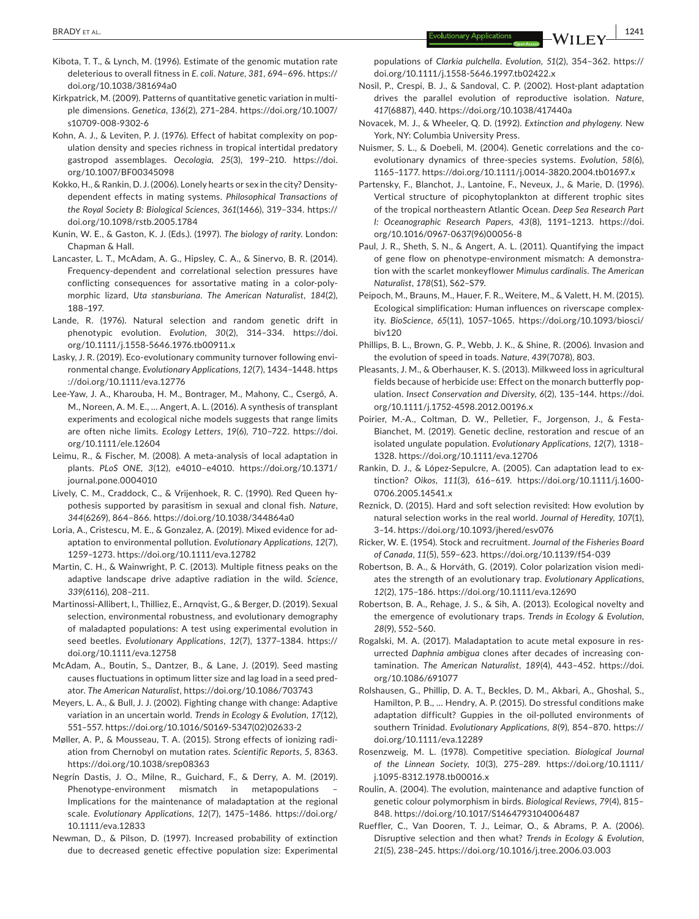- Kibota, T. T., & Lynch, M. (1996). Estimate of the genomic mutation rate deleterious to overall fitness in *E. coli*. *Nature*, *381*, 694–696. [https://](https://doi.org/10.1038/381694a0) [doi.org/10.1038/381694a0](https://doi.org/10.1038/381694a0)
- Kirkpatrick, M. (2009). Patterns of quantitative genetic variation in multi‐ ple dimensions. *Genetica*, *136*(2), 271–284. [https://doi.org/10.1007/](https://doi.org/10.1007/s10709-008-9302-6) [s10709-008-9302-6](https://doi.org/10.1007/s10709-008-9302-6)
- Kohn, A. J., & Leviten, P. J. (1976). Effect of habitat complexity on pop‐ ulation density and species richness in tropical intertidal predatory gastropod assemblages. *Oecologia*, *25*(3), 199–210. [https://doi.](https://doi.org/10.1007/BF00345098) [org/10.1007/BF00345098](https://doi.org/10.1007/BF00345098)
- Kokko, H., & Rankin, D. J. (2006). Lonely hearts or sex in the city? Density‐ dependent effects in mating systems. *Philosophical Transactions of the Royal Society B: Biological Sciences*, *361*(1466), 319–334. [https://](https://doi.org/10.1098/rstb.2005.1784) [doi.org/10.1098/rstb.2005.1784](https://doi.org/10.1098/rstb.2005.1784)
- Kunin, W. E., & Gaston, K. J. (Eds.). (1997). *The biology of rarity*. London: Chapman & Hall.
- Lancaster, L. T., McAdam, A. G., Hipsley, C. A., & Sinervo, B. R. (2014). Frequency‐dependent and correlational selection pressures have conflicting consequences for assortative mating in a color-polymorphic lizard, *Uta stansburiana*. *The American Naturalist*, *184*(2), 188–197.
- Lande, R. (1976). Natural selection and random genetic drift in phenotypic evolution. *Evolution*, *30*(2), 314–334. [https://doi.](https://doi.org/10.1111/j.1558-5646.1976.tb00911.x) [org/10.1111/j.1558-5646.1976.tb00911.x](https://doi.org/10.1111/j.1558-5646.1976.tb00911.x)
- Lasky, J. R. (2019). Eco-evolutionary community turnover following environmental change. *Evolutionary Applications*, *12*(7), 1434–1448. [https](https://doi.org/10.1111/eva.12776) [://doi.org/10.1111/eva.12776](https://doi.org/10.1111/eva.12776)
- Lee‐Yaw, J. A., Kharouba, H. M., Bontrager, M., Mahony, C., Csergő, A. M., Noreen, A. M. E., … Angert, A. L. (2016). A synthesis of transplant experiments and ecological niche models suggests that range limits are often niche limits. *Ecology Letters*, *19*(6), 710–722. [https://doi.](https://doi.org/10.1111/ele.12604) [org/10.1111/ele.12604](https://doi.org/10.1111/ele.12604)
- Leimu, R., & Fischer, M. (2008). A meta‐analysis of local adaptation in plants. *PLoS ONE*, *3*(12), e4010–e4010. [https://doi.org/10.1371/](https://doi.org/10.1371/journal.pone.0004010) [journal.pone.0004010](https://doi.org/10.1371/journal.pone.0004010)
- Lively, C. M., Craddock, C., & Vrijenhoek, R. C. (1990). Red Queen hy‐ pothesis supported by parasitism in sexual and clonal fish. *Nature*, *344*(6269), 864–866. <https://doi.org/10.1038/344864a0>
- Loria, A., Cristescu, M. E., & Gonzalez, A. (2019). Mixed evidence for ad‐ aptation to environmental pollution. *Evolutionary Applications*, *12*(7), 1259–1273. <https://doi.org/10.1111/eva.12782>
- Martin, C. H., & Wainwright, P. C. (2013). Multiple fitness peaks on the adaptive landscape drive adaptive radiation in the wild. *Science*, *339*(6116), 208–211.
- Martinossi‐Allibert, I., Thilliez, E., Arnqvist, G., & Berger, D. (2019). Sexual selection, environmental robustness, and evolutionary demography of maladapted populations: A test using experimental evolution in seed beetles. *Evolutionary Applications*, *12*(7), 1377–1384. [https://](https://doi.org/10.1111/eva.12758) [doi.org/10.1111/eva.12758](https://doi.org/10.1111/eva.12758)
- McAdam, A., Boutin, S., Dantzer, B., & Lane, J. (2019). Seed masting causes fluctuations in optimum litter size and lag load in a seed pred‐ ator. *The American Naturalist*, <https://doi.org/10.1086/703743>
- Meyers, L. A., & Bull, J. J. (2002). Fighting change with change: Adaptive variation in an uncertain world. *Trends in Ecology & Evolution*, *17*(12), 551–557. [https://doi.org/10.1016/S0169-5347\(02\)02633-2](https://doi.org/10.1016/S0169-5347(02)02633-2)
- Møller, A. P., & Mousseau, T. A. (2015). Strong effects of ionizing radi‐ ation from Chernobyl on mutation rates. *Scientific Reports*, *5*, 8363. <https://doi.org/10.1038/srep08363>
- Negrín Dastis, J. O., Milne, R., Guichard, F., & Derry, A. M. (2019). Phenotype-environment mismatch in metapopulations Implications for the maintenance of maladaptation at the regional scale. *Evolutionary Applications*, *12*(7), 1475–1486. [https://doi.org/](https://doi.org/10.1111/eva.12833) [10.1111/eva.12833](https://doi.org/10.1111/eva.12833)
- Newman, D., & Pilson, D. (1997). Increased probability of extinction due to decreased genetic effective population size: Experimental

populations of *Clarkia pulchella*. *Evolution*, *51*(2), 354–362. [https://](https://doi.org/10.1111/j.1558-5646.1997.tb02422.x) [doi.org/10.1111/j.1558-5646.1997.tb02422.x](https://doi.org/10.1111/j.1558-5646.1997.tb02422.x)

- Nosil, P., Crespi, B. J., & Sandoval, C. P. (2002). Host‐plant adaptation drives the parallel evolution of reproductive isolation. *Nature*, *417*(6887), 440.<https://doi.org/10.1038/417440a>
- Novacek, M. J., & Wheeler, Q. D. (1992). *Extinction and phylogeny*. New York, NY: Columbia University Press.
- Nuismer, S. L., & Doebeli, M. (2004). Genetic correlations and the co‐ evolutionary dynamics of three‐species systems. *Evolution*, *58*(6), 1165–1177. <https://doi.org/10.1111/j.0014-3820.2004.tb01697.x>
- Partensky, F., Blanchot, J., Lantoine, F., Neveux, J., & Marie, D. (1996). Vertical structure of picophytoplankton at different trophic sites of the tropical northeastern Atlantic Ocean. *Deep Sea Research Part I: Oceanographic Research Papers*, *43*(8), 1191–1213. [https://doi.](https://doi.org/10.1016/0967-0637(96)00056-8) [org/10.1016/0967-0637\(96\)00056-8](https://doi.org/10.1016/0967-0637(96)00056-8)
- Paul, J. R., Sheth, S. N., & Angert, A. L. (2011). Quantifying the impact of gene flow on phenotype-environment mismatch: A demonstration with the scarlet monkeyflower *Mimulus cardinalis*. *The American Naturalist*, *178*(S1), S62–S79.
- Peipoch, M., Brauns, M., Hauer, F. R., Weitere, M., & Valett, H. M. (2015). Ecological simplification: Human influences on riverscape complex‐ ity. *BioScience*, *65*(11), 1057–1065. [https://doi.org/10.1093/biosci/](https://doi.org/10.1093/biosci/biv120) [biv120](https://doi.org/10.1093/biosci/biv120)
- Phillips, B. L., Brown, G. P., Webb, J. K., & Shine, R. (2006). Invasion and the evolution of speed in toads. *Nature*, *439*(7078), 803.
- Pleasants, J. M., & Oberhauser, K. S. (2013). Milkweed loss in agricultural fields because of herbicide use: Effect on the monarch butterfly pop‐ ulation. *Insect Conservation and Diversity*, *6*(2), 135–144. [https://doi.](https://doi.org/10.1111/j.1752-4598.2012.00196.x) [org/10.1111/j.1752-4598.2012.00196.x](https://doi.org/10.1111/j.1752-4598.2012.00196.x)
- Poirier, M.-A., Coltman, D. W., Pelletier, F., Jorgenson, J., & Festa-Bianchet, M. (2019). Genetic decline, restoration and rescue of an isolated ungulate population. *Evolutionary Applications*, *12*(7), 1318– 1328.<https://doi.org/10.1111/eva.12706>
- Rankin, D. J., & López‐Sepulcre, A. (2005). Can adaptation lead to ex‐ tinction? *Oikos*, *111*(3), 616–619. [https://doi.org/10.1111/j.1600-](https://doi.org/10.1111/j.1600-0706.2005.14541.x)[0706.2005.14541.x](https://doi.org/10.1111/j.1600-0706.2005.14541.x)
- Reznick, D. (2015). Hard and soft selection revisited: How evolution by natural selection works in the real world. *Journal of Heredity*, *107*(1), 3–14.<https://doi.org/10.1093/jhered/esv076>
- Ricker, W. E. (1954). Stock and recruitment. *Journal of the Fisheries Board of Canada*, *11*(5), 559–623.<https://doi.org/10.1139/f54-039>
- Robertson, B. A., & Horváth, G. (2019). Color polarization vision medi‐ ates the strength of an evolutionary trap. *Evolutionary Applications*, *12*(2), 175–186.<https://doi.org/10.1111/eva.12690>
- Robertson, B. A., Rehage, J. S., & Sih, A. (2013). Ecological novelty and the emergence of evolutionary traps. *Trends in Ecology & Evolution*, *28*(9), 552–560.
- Rogalski, M. A. (2017). Maladaptation to acute metal exposure in res‐ urrected *Daphnia ambigua* clones after decades of increasing con‐ tamination. *The American Naturalist*, *189*(4), 443–452. [https://doi.](https://doi.org/10.1086/691077) [org/10.1086/691077](https://doi.org/10.1086/691077)
- Rolshausen, G., Phillip, D. A. T., Beckles, D. M., Akbari, A., Ghoshal, S., Hamilton, P. B., … Hendry, A. P. (2015). Do stressful conditions make adaptation difficult? Guppies in the oil‐polluted environments of southern Trinidad. *Evolutionary Applications*, *8*(9), 854–870. [https://](https://doi.org/10.1111/eva.12289) [doi.org/10.1111/eva.12289](https://doi.org/10.1111/eva.12289)
- Rosenzweig, M. L. (1978). Competitive speciation. *Biological Journal of the Linnean Society*, *10*(3), 275–289. [https://doi.org/10.1111/](https://doi.org/10.1111/j.1095-8312.1978.tb00016.x) [j.1095-8312.1978.tb00016.x](https://doi.org/10.1111/j.1095-8312.1978.tb00016.x)
- Roulin, A. (2004). The evolution, maintenance and adaptive function of genetic colour polymorphism in birds. *Biological Reviews*, *79*(4), 815– 848.<https://doi.org/10.1017/S1464793104006487>
- Rueffler, C., Van Dooren, T. J., Leimar, O., & Abrams, P. A. (2006). Disruptive selection and then what? *Trends in Ecology & Evolution*, *21*(5), 238–245. <https://doi.org/10.1016/j.tree.2006.03.003>